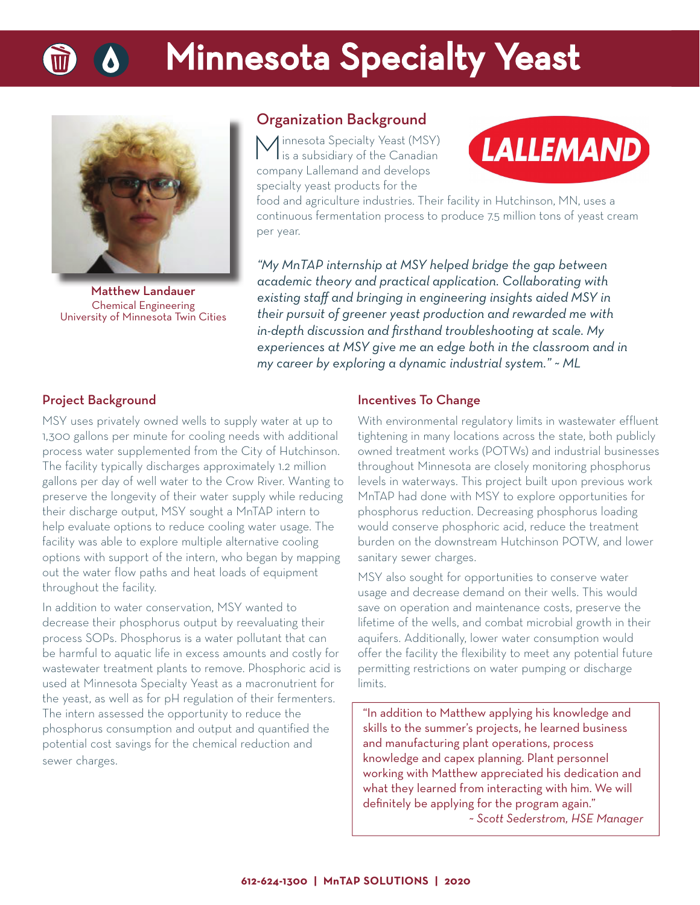# **Minnesota Specialty Yeast**



Matthew Landauer Chemical Engineering University of Minnesota Twin Cities

### Organization Background

Minnesota Specialty Yeast (MSY) is a subsidiary of the Canadian company Lallemand and develops specialty yeast products for the



food and agriculture industries. Their facility in Hutchinson, MN, uses a continuous fermentation process to produce 7.5 million tons of yeast cream per year.

*"My MnTAP internship at MSY helped bridge the gap between academic theory and practical application. Collaborating with existing staff and bringing in engineering insights aided MSY in their pursuit of greener yeast production and rewarded me with in-depth discussion and fi rsthand troubleshooting at scale. My experiences at MSY give me an edge both in the classroom and in my career by exploring a dynamic industrial system." ~ ML*

### Project Background

MSY uses privately owned wells to supply water at up to 1,300 gallons per minute for cooling needs with additional process water supplemented from the City of Hutchinson. The facility typically discharges approximately 1.2 million gallons per day of well water to the Crow River. Wanting to preserve the longevity of their water supply while reducing their discharge output, MSY sought a MnTAP intern to help evaluate options to reduce cooling water usage. The facility was able to explore multiple alternative cooling options with support of the intern, who began by mapping out the water flow paths and heat loads of equipment throughout the facility.

In addition to water conservation, MSY wanted to decrease their phosphorus output by reevaluating their process SOPs. Phosphorus is a water pollutant that can be harmful to aquatic life in excess amounts and costly for wastewater treatment plants to remove. Phosphoric acid is used at Minnesota Specialty Yeast as a macronutrient for the yeast, as well as for pH regulation of their fermenters. The intern assessed the opportunity to reduce the phosphorus consumption and output and quantified the potential cost savings for the chemical reduction and sewer charges.

### Incentives To Change

With environmental regulatory limits in wastewater effluent tightening in many locations across the state, both publicly owned treatment works (POTWs) and industrial businesses throughout Minnesota are closely monitoring phosphorus levels in waterways. This project built upon previous work MnTAP had done with MSY to explore opportunities for phosphorus reduction. Decreasing phosphorus loading would conserve phosphoric acid, reduce the treatment burden on the downstream Hutchinson POTW, and lower sanitary sewer charges.

MSY also sought for opportunities to conserve water usage and decrease demand on their wells. This would save on operation and maintenance costs, preserve the lifetime of the wells, and combat microbial growth in their aquifers. Additionally, lower water consumption would offer the facility the flexibility to meet any potential future permitting restrictions on water pumping or discharge limits.

"In addition to Matthew applying his knowledge and skills to the summer's projects, he learned business and manufacturing plant operations, process knowledge and capex planning. Plant personnel working with Matthew appreciated his dedication and what they learned from interacting with him. We will definitely be applying for the program again."

*~ Scott Sederstrom, HSE Manager*